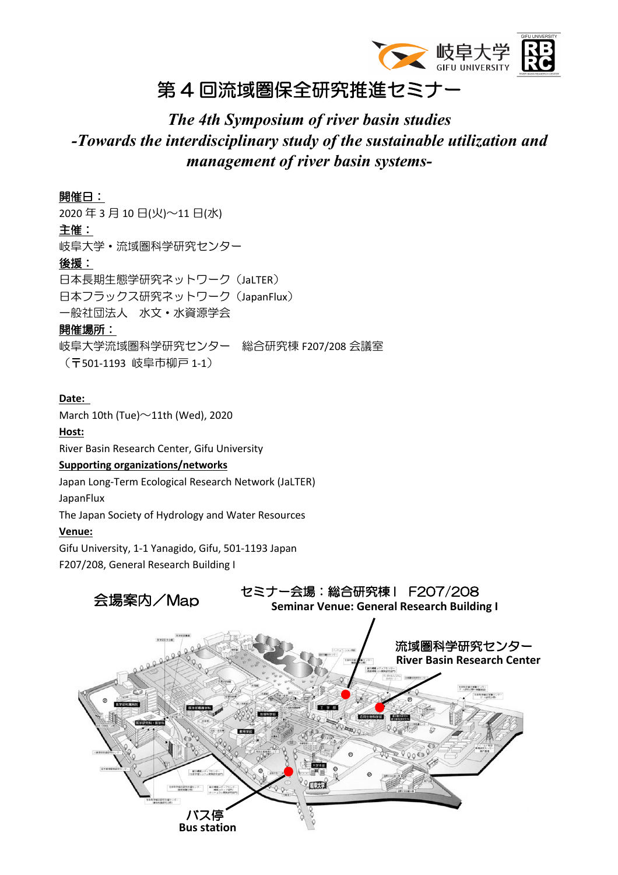

### 第 4 回流域圏保全研究推進セミナー

### *The 4th Symposium of river basin studies -Towards the interdisciplinary study of the sustainable utilization and management of river basin systems-*

### 開催日:

2020 年 3 月 10 日(火)~11 日(水) 主催: 岐阜大学・流域圏科学研究センター 後援: 日本長期生態学研究ネットワーク(JaLTER) 日本フラックス研究ネットワーク(JapanFlux) 一般社団法人 水文・水資源学会 開催場所: 岐阜大学流域圏科学研究センター 総合研究棟 F207/208 会議室

(〒501-1193 岐阜市柳戸 1-1)

#### **Date:**

March 10th (Tue) $\sim$ 11th (Wed), 2020 **Host:** River Basin Research Center, Gifu University **Supporting organizations/networks** Japan Long-Term Ecological Research Network (JaLTER)

JapanFlux

The Japan Society of Hydrology and Water Resources

#### **Venue:**

Gifu University, 1-1 Yanagido, Gifu, 501-1193 Japan

F207/208, General Research Building I

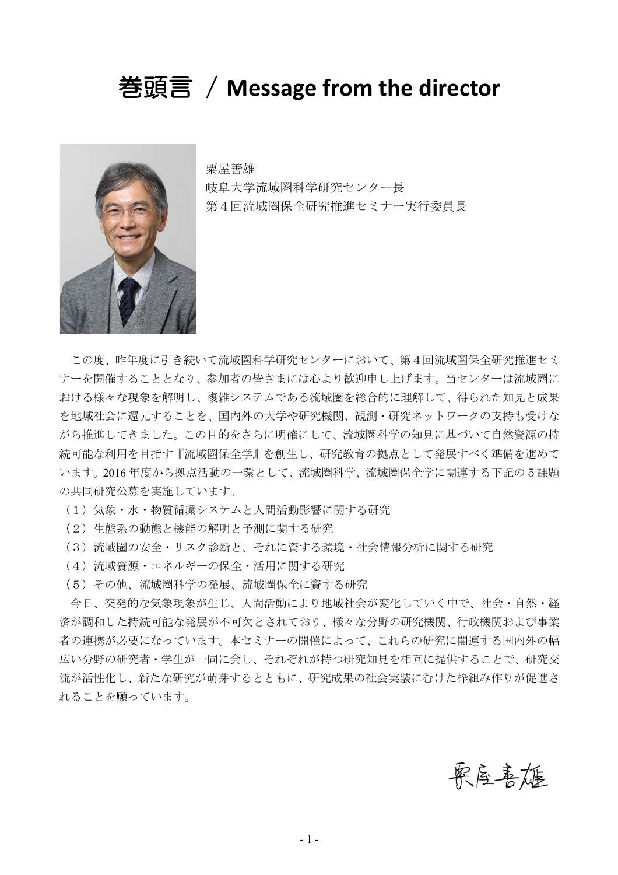### 巻頭言 / **Message from the director**



粟屋善雄 岐阜大学流域圏科学研究センター長 第4回流域圏保全研究推進セミナー実行委員長

この度、昨年度に引き続いて流域圏科学研究センターにおいて、第4回流域圏保全研究推進セミ ナーを開催することとなり、参加者の皆さまには心より歓迎申し上げます。当センターは流域圏に おける様々な現象を解明し、複雑システムである流域圏を総合的に理解して、得られた知見と成果 を地域社会に還元することを、国内外の大学や研究機関、観測・研究ネットワークの支持も受けな がら推進してきました。この目的をさらに明確にして、流域圏科学の知見に基づいて自然資源の持 続可能な利用を目指す『流域圏保全学』を創生し、研究教育の拠点として発展すべく準備を進めて います。2016 年度から拠点活動の一環として、流域圏科学、流域圏保全学に関連する下記の5課題 の共同研究公募を実施しています。

(1)気象・水・物質循環システムと人間活動影響に関する研究

(2)生態系の動態と機能の解明と予測に関する研究

(3)流域圏の安全・リスク診断と、それに資する環境・社会情報分析に関する研究

- (4) 流域資源·エネルギーの保全·活用に関する研究
- (5)その他、流域圏科学の発展、流域圏保全に資する研究

今日、突発的な気象現象が生じ、人間活動により地域社会が変化していく中で、社会・自然・経 済が調和した持続可能な発展が不可欠とされており、様々な分野の研究機関、行政機関および事業 者の連携が必要になっています。本セミナーの開催によって、これらの研究に関連する国内外の幅 広い分野の研究者・学生が一同に会し、それぞれが持つ研究知見を相互に提供することで、研究交 流が活性化し、新たな研究が萌芽するとともに、研究成果の社会実装にむけた枠組み作りが促進さ れることを願っています。

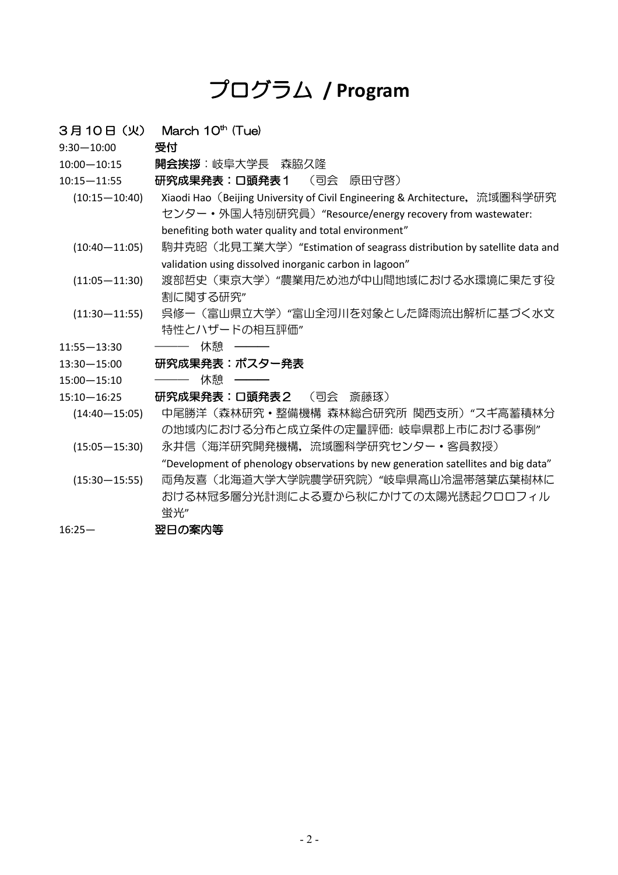## プログラム **/ Program**

 $3$ 月 10日 $(W)$  March 10<sup>th</sup> (Tue)

9:30—10:00 受付

- 10:00—10:15 開会挨拶:岐阜大学長 森脇久隆
- 10:15—11:55 研究成果発表:口頭発表1 (司会 原田守啓)
	- (10:15—10:40) Xiaodi Hao (Beijing University of Civil Engineering & Architecture, 流域圏科学研究 センター・外国人特別研究員)"Resource/energy recovery from wastewater: benefiting both water quality and total environment"
		- (10:40—11:05) 駒井克昭(北見工業大学)"Estimation of seagrass distribution by satellite data and validation using dissolved inorganic carbon in lagoon"
		- (11:05—11:30) 渡部哲史(東京大学)"農業用ため池が中山間地域における水環境に果たす役 割に関する研究"
		- (11:30—11:55) 呉修一(富山県立大学)"富山全河川を対象とした降雨流出解析に基づく水文 特性とハザードの相互評価"
- 11:55-13:30 -- 休憩 -
- 13:30—15:00 研究成果発表:ポスター発表
- 15:00-15:10 -- 休憩 --
- 15:10—16:25 研究成果発表:口頭発表2 (司会 斎藤琢)
	- (14:40—15:05) 中尾勝洋(森林研究・整備機構 森林総合研究所 関西支所)"スギ高蓄積林分 の地域内における分布と成立条件の定量評価: 岐阜県郡上市における事例"
	- (15:05—15:30) 永井信(海洋研究開発機構,流域圏科学研究センター・客員教授)
		- "Development of phenology observations by new generation satellites and big data"
	- (15:30—15:55) 両角友喜(北海道大学大学院農学研究院)"岐阜県高山冷温帯落葉広葉樹林に おける林冠多層分光計測による夏から秋にかけての太陽光誘起クロロフィル 蛍光"
- 16:25— 翌日の案内等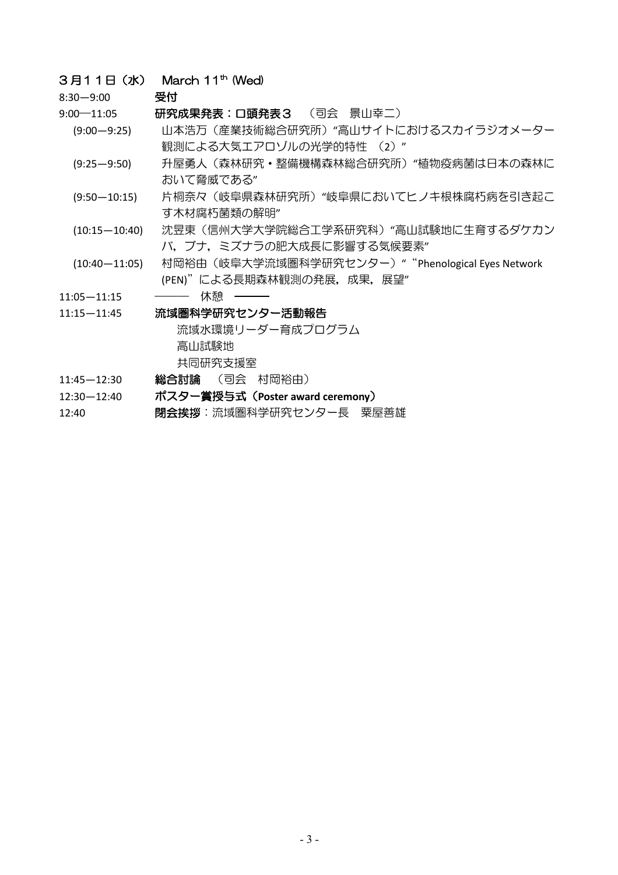### 3月11日 (水) March 11<sup>th</sup> (Wed)

8:30—9:00 受付

9:00—11:05 研究成果発表:口頭発表3 (司会 景山幸二)

- (9:00—9:25) 山本浩万(産業技術総合研究所)"高山サイトにおけるスカイラジオメーター 観測による大気エアロゾルの光学的特性 (2) "
- (9:25—9:50) 升屋勇人(森林研究・整備機構森林総合研究所)"植物疫病菌は日本の森林に おいて脅威である"
- (9:50—10:15) 片桐奈々(岐阜県森林研究所)"岐阜県においてヒノキ根株腐朽病を引き起こ す木材腐朽菌類の解明"
- (10:15—10:40) 沈昱東(信州大学大学院総合工学系研究科)"高山試験地に生育するダケカン バ,ブナ,ミズナラの肥大成長に影響する気候要素"
- (10:40-11:05) 村岡裕由 (岐阜大学流域圏科学研究センター) " "Phenological Eyes Network (PEN)"による長期森林観測の発展,成果,展望"
- 11:05-11:15 -------- 休憩 -------

#### 11:15—11:45 流域圏科学研究センター活動報告

流域水環境リーダー育成プログラム 高山試験地 共同研究支援室

- 11:45—12:30 総合討論 (司会 村岡裕由)
- 12:30—12:40 ポスター賞授与式(**Poster award ceremony**)
- 12:40 明会挨拶:流域圏科学研究センター長 粟屋善雄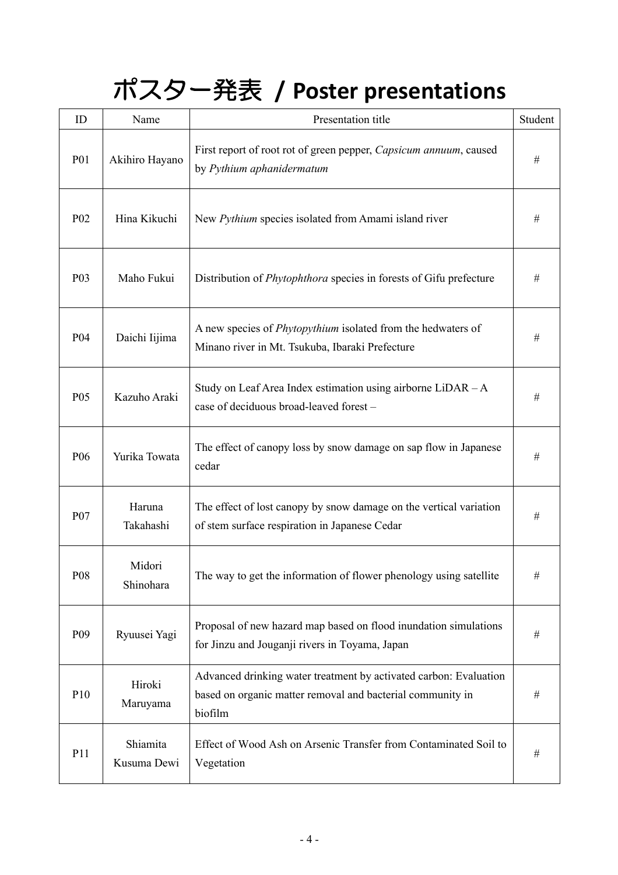# ポスター発表 **/ Poster presentations**

| ID               | Name                    | Presentation title                                                                                                                         | Student |
|------------------|-------------------------|--------------------------------------------------------------------------------------------------------------------------------------------|---------|
| <b>P01</b>       | Akihiro Hayano          | First report of root rot of green pepper, Capsicum annuum, caused<br>by Pythium aphanidermatum                                             | #       |
| P <sub>02</sub>  | Hina Kikuchi            | New Pythium species isolated from Amami island river                                                                                       | #       |
| P <sub>0</sub> 3 | Maho Fukui              | Distribution of <i>Phytophthora</i> species in forests of Gifu prefecture                                                                  | #       |
| P <sub>04</sub>  | Daichi Iijima           | A new species of <i>Phytopythium</i> isolated from the hedwaters of<br>Minano river in Mt. Tsukuba, Ibaraki Prefecture                     | #       |
| P <sub>05</sub>  | Kazuho Araki            | Study on Leaf Area Index estimation using airborne $LiDAR - A$<br>case of deciduous broad-leaved forest-                                   | #       |
| P <sub>06</sub>  | Yurika Towata           | The effect of canopy loss by snow damage on sap flow in Japanese<br>cedar                                                                  | $\#$    |
| P <sub>0</sub> 7 | Haruna<br>Takahashi     | The effect of lost canopy by snow damage on the vertical variation<br>of stem surface respiration in Japanese Cedar                        | $\#$    |
| P08              | Midori<br>Shinohara     | The way to get the information of flower phenology using satellite                                                                         | $\#$    |
| P <sub>09</sub>  | Ryuusei Yagi            | Proposal of new hazard map based on flood inundation simulations<br>for Jinzu and Jouganji rivers in Toyama, Japan                         | #       |
| P10              | Hiroki<br>Maruyama      | Advanced drinking water treatment by activated carbon: Evaluation<br>based on organic matter removal and bacterial community in<br>biofilm | #       |
| P11              | Shiamita<br>Kusuma Dewi | Effect of Wood Ash on Arsenic Transfer from Contaminated Soil to<br>Vegetation                                                             | #       |